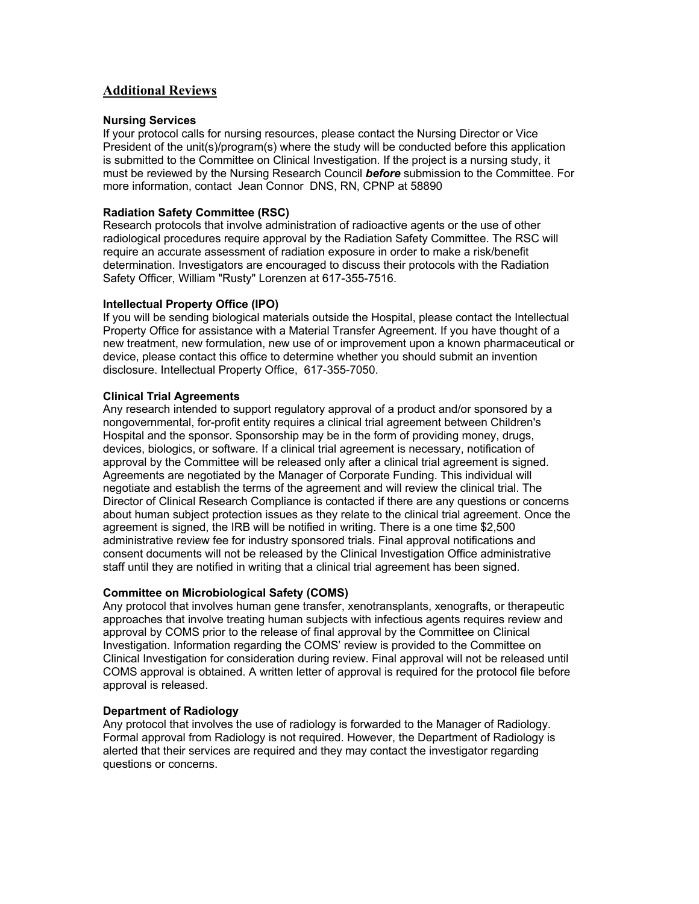# **Additional Reviews**

## **Nursing Services**

If your protocol calls for nursing resources, please contact the Nursing Director or Vice President of the unit(s)/program(s) where the study will be conducted before this application is submitted to the Committee on Clinical Investigation. If the project is a nursing study, it must be reviewed by the Nursing Research Council *before* submission to the Committee. For more information, contact Jean Connor DNS, RN, CPNP at 58890

## **Radiation Safety Committee (RSC)**

Research protocols that involve administration of radioactive agents or the use of other radiological procedures require approval by the Radiation Safety Committee. The RSC will require an accurate assessment of radiation exposure in order to make a risk/benefit determination. Investigators are encouraged to discuss their protocols with the Radiation Safety Officer, William "Rusty" Lorenzen at 617-355-7516.

#### **Intellectual Property Office (IPO)**

If you will be sending biological materials outside the Hospital, please contact the Intellectual Property Office for assistance with a Material Transfer Agreement. If you have thought of a new treatment, new formulation, new use of or improvement upon a known pharmaceutical or device, please contact this office to determine whether you should submit an invention disclosure. Intellectual Property Office, 617-355-7050.

#### **Clinical Trial Agreements**

Any research intended to support regulatory approval of a product and/or sponsored by a nongovernmental, for-profit entity requires a clinical trial agreement between Children's Hospital and the sponsor. Sponsorship may be in the form of providing money, drugs, devices, biologics, or software. If a clinical trial agreement is necessary, notification of approval by the Committee will be released only after a clinical trial agreement is signed. Agreements are negotiated by the Manager of Corporate Funding. This individual will negotiate and establish the terms of the agreement and will review the clinical trial. The Director of Clinical Research Compliance is contacted if there are any questions or concerns about human subject protection issues as they relate to the clinical trial agreement. Once the agreement is signed, the IRB will be notified in writing. There is a one time \$2,500 administrative review fee for industry sponsored trials. Final approval notifications and consent documents will not be released by the Clinical Investigation Office administrative staff until they are notified in writing that a clinical trial agreement has been signed.

## **Committee on Microbiological Safety (COMS)**

Any protocol that involves human gene transfer, xenotransplants, xenografts, or therapeutic approaches that involve treating human subjects with infectious agents requires review and approval by COMS prior to the release of final approval by the Committee on Clinical Investigation. Information regarding the COMS' review is provided to the Committee on Clinical Investigation for consideration during review. Final approval will not be released until COMS approval is obtained. A written letter of approval is required for the protocol file before approval is released.

#### **Department of Radiology**

Any protocol that involves the use of radiology is forwarded to the Manager of Radiology. Formal approval from Radiology is not required. However, the Department of Radiology is alerted that their services are required and they may contact the investigator regarding questions or concerns.